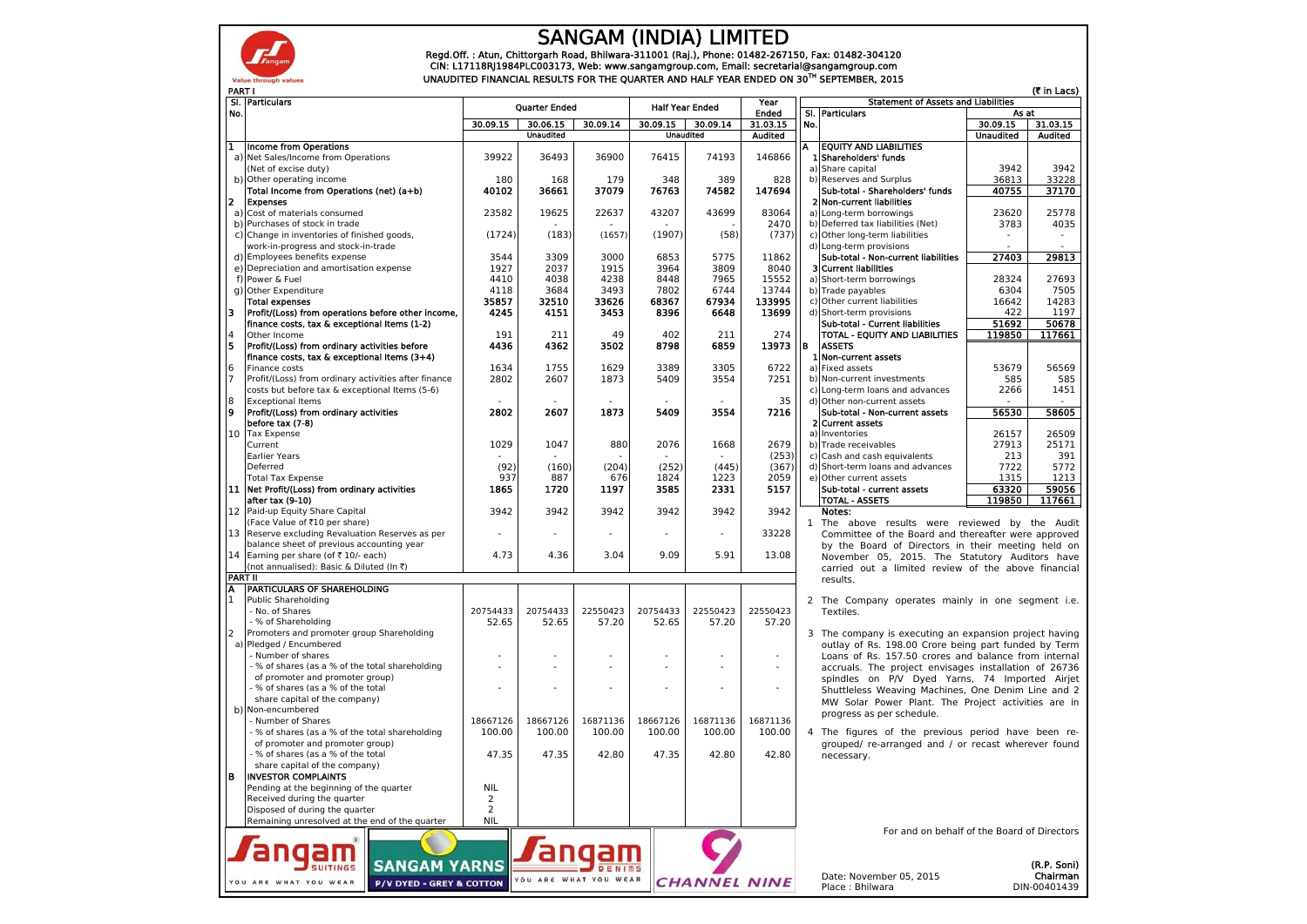

## SANGAM (INDIA) LIMITED

Regd.Off. : Atun, Chittorgarh Road, Bhilwara-311001 (Raj.), Phone: 01482-267150, Fax: 01482-304120<br>CIN: L17118RJ1984PLC003173, Web: www.sangamgroup.com, Email: secretarial@sangamgroup.com<br>UNAUDITED FINANCIAL RESULTS FOR TH

|                | <b>PART I</b> | SI. Particulars                                                                                    |                              | Year              |                   | (र in Lacs)<br><b>Statement of Assets and Liabilities</b> |                     |                                             |                 |                                                                                                       |                  |                |
|----------------|---------------|----------------------------------------------------------------------------------------------------|------------------------------|-------------------|-------------------|-----------------------------------------------------------|---------------------|---------------------------------------------|-----------------|-------------------------------------------------------------------------------------------------------|------------------|----------------|
|                | No.           |                                                                                                    | <b>Quarter Ended</b>         |                   |                   | <b>Half Year Ended</b>                                    |                     | <b>Ended</b>                                | SI. Particulars |                                                                                                       | As at            |                |
|                |               |                                                                                                    | 30.09.15                     | 30.06.15          | 30.09.14          |                                                           | $30.09.15$ 30.09.14 | 31.03.15                                    | No.             |                                                                                                       | 30.09.15         | 31.03.15       |
|                |               |                                                                                                    |                              | <b>Unaudited</b>  |                   |                                                           | <b>Unaudited</b>    | <b>Audited</b>                              |                 |                                                                                                       | <b>Unaudited</b> | <b>Audited</b> |
| $\bf{1}$       |               | Income from Operations<br>a) Net Sales/Income from Operations                                      | 39922                        | 36493             | 36900             | 76415                                                     | 74193               | 146866                                      |                 | <b>EQUITY AND LIABILITIES</b><br>1 Shareholders' funds                                                |                  |                |
|                |               | (Net of excise duty)                                                                               |                              |                   |                   |                                                           |                     |                                             |                 | a) Share capital                                                                                      | 3942             | 3942           |
|                |               | b) Other operating income                                                                          | 180                          | 168               | 179               | 348                                                       | 389                 | 828                                         |                 | b) Reserves and Surplus                                                                               | 36813            | 33228          |
|                |               | Total Income from Operations (net) (a+b)                                                           | 40102                        | 36661             | 37079             | 76763                                                     | 74582               | 147694                                      |                 | Sub-total - Shareholders' funds                                                                       | 40755            | 37170          |
| 2              |               | <b>Expenses</b>                                                                                    |                              |                   |                   |                                                           |                     |                                             |                 | 2 Non-current liabilities                                                                             |                  |                |
|                |               | a) Cost of materials consumed                                                                      | 23582                        | 19625             | 22637             | 43207                                                     | 43699               | 83064                                       |                 | a) Long-term borrowings                                                                               | 23620            | 25778          |
|                |               | b) Purchases of stock in trade                                                                     |                              |                   |                   |                                                           |                     | 2470                                        |                 | b) Deferred tax liabilities (Net)                                                                     | 3783             | 4035           |
|                |               | c) Change in inventories of finished goods,<br>work-in-progress and stock-in-trade                 | (1724)                       | (183)             | (1657)            | (1907)                                                    | (58)                | (737)                                       |                 | c) Other long-term liabilities<br>d) Long-term provisions                                             |                  |                |
|                |               | d) Employees benefits expense                                                                      | 3544                         | 3309              | 3000              | 6853                                                      | 5775                | 11862                                       |                 | Sub-total - Non-current liabilities                                                                   | 27403            | 29813          |
|                |               | e) Depreciation and amortisation expense                                                           | 1927                         | 2037              | 1915              | 3964                                                      | 3809                | 8040                                        |                 | 3 Current liabilities                                                                                 |                  |                |
|                |               | f) Power & Fuel                                                                                    | 4410                         | 4038              | 4238              | 8448                                                      | 7965                | 15552                                       |                 | a) Short-term borrowings                                                                              | 28324            | 27693          |
|                |               | g) Other Expenditure                                                                               | 4118                         | 3684              | 3493              | 7802                                                      | 6744                | 13744                                       |                 | b) Trade payables                                                                                     | 6304             | 7505           |
|                |               | <b>Total expenses</b>                                                                              | 35857                        | 32510             | 33626             | 68367                                                     | 67934               | 133995                                      |                 | c) Other current liabilities                                                                          | 16642<br>422     | 14283<br>1197  |
| 13             |               | Profit/(Loss) from operations before other income,<br>finance costs, tax & exceptional Items (1-2) | 4245                         | 4151              | 3453              | 8396                                                      | 6648                | 13699                                       |                 | d) Short-term provisions<br>Sub-total - Current liabilities                                           | 51692            | 50678          |
| $\overline{4}$ |               | Other Income                                                                                       | 191                          | 211               | 49                | 402                                                       | 211                 | 274                                         |                 | TOTAL - EQUITY AND LIABILITIES                                                                        | 119850           | 117661         |
| l5             |               | Profit/(Loss) from ordinary activities before                                                      | 4436                         | 4362              | 3502              | 8798                                                      | 6859                | 13973                                       | l B             | <b>ASSETS</b>                                                                                         |                  |                |
|                |               | finance costs, tax & exceptional Items (3+4)                                                       |                              |                   |                   |                                                           |                     |                                             |                 | 1 Non-current assets                                                                                  |                  |                |
| 6              |               | Finance costs                                                                                      | 1634                         | 1755              | 1629              | 3389                                                      | 3305                | 6722                                        |                 | a) Fixed assets                                                                                       | 53679            | 56569          |
| $\overline{7}$ |               | Profit/(Loss) from ordinary activities after finance                                               | 2802                         | 2607              | 1873              | 5409                                                      | 3554                | 7251                                        |                 | b) Non-current investments                                                                            | 585              | 585            |
| 8              |               | costs but before tax & exceptional Items (5-6)<br><b>Exceptional Items</b>                         |                              |                   |                   |                                                           |                     | 35                                          |                 | c) Long-term loans and advances<br>d) Other non-current assets                                        | 2266             | 1451           |
| 9              |               | Profit/(Loss) from ordinary activities                                                             | 2802                         | 2607              | 1873              | 5409                                                      | 3554                | 7216                                        |                 | Sub-total - Non-current assets                                                                        | 56530            | 58605          |
|                |               | before tax (7-8)                                                                                   |                              |                   |                   |                                                           |                     |                                             |                 | 2 Current assets                                                                                      |                  |                |
| 10             |               | <b>Tax Expense</b>                                                                                 |                              |                   |                   |                                                           |                     |                                             |                 | a) Inventories                                                                                        | 26157            | 26509          |
|                |               | Current                                                                                            | 1029                         | 1047              | 880               | 2076                                                      | 1668                | 2679                                        |                 | b) Trade receivables                                                                                  | 27913            | 25171          |
|                |               | Earlier Years                                                                                      |                              |                   |                   |                                                           |                     | (253)                                       |                 | c) Cash and cash equivalents                                                                          | 213              | 391            |
|                |               | Deferred<br><b>Total Tax Expense</b>                                                               | (92)<br>937                  | (160)<br>887      | (204)<br>676      | (252)<br>1824                                             | (445)<br>1223       | (367)<br>2059                               |                 | d) Short-term loans and advances<br>e) Other current assets                                           | 7722<br>1315     | 5772<br>1213   |
|                |               | 11  Net Profit/(Loss) from ordinary activities                                                     | 1865                         | 1720              | 1197              | 3585                                                      | 2331                | 5157                                        |                 | Sub-total - current assets                                                                            | 63320            | 59056          |
|                |               | after tax (9-10)                                                                                   |                              |                   |                   |                                                           |                     |                                             |                 | <b>TOTAL - ASSETS</b>                                                                                 | 119850           | 117661         |
|                |               | 12 Paid-up Equity Share Capital                                                                    | 3942                         | 3942              | 3942              | 3942                                                      | 3942                | 3942                                        |                 | Notes:                                                                                                |                  |                |
|                |               | (Face Value of ₹10 per share)                                                                      |                              |                   |                   |                                                           |                     |                                             |                 | 1 The above results were reviewed by the Audit                                                        |                  |                |
|                |               | 13 Reserve excluding Revaluation Reserves as per                                                   |                              |                   | 33228<br>÷.       |                                                           |                     |                                             |                 | Committee of the Board and thereafter were approved                                                   |                  |                |
| 14             |               | balance sheet of previous accounting year<br>Earning per share (of ₹ 10/- each)                    | 4.73                         | 4.36              | 3.04              | 9.09                                                      | 5.91                | 13.08                                       |                 | by the Board of Directors in their meeting held on                                                    |                  |                |
|                |               | (not annualised): Basic & Diluted (In ₹)                                                           |                              |                   |                   |                                                           |                     |                                             |                 | November 05, 2015. The Statutory Auditors have<br>carried out a limited review of the above financial |                  |                |
|                |               | <b>PART II</b>                                                                                     |                              |                   |                   |                                                           |                     |                                             |                 | results.                                                                                              |                  |                |
| Α              |               | <b>PARTICULARS OF SHAREHOLDING</b>                                                                 |                              |                   |                   |                                                           |                     |                                             |                 |                                                                                                       |                  |                |
| $\mathbf{1}$   |               | Public Shareholding                                                                                |                              |                   |                   |                                                           |                     |                                             |                 | 2 The Company operates mainly in one segment i.e.                                                     |                  |                |
|                |               | - No. of Shares<br>- % of Shareholding                                                             | 20754433                     | 20754433<br>52.65 | 22550423<br>57.20 | 20754433                                                  | 22550423<br>57.20   | 22550423<br>57.20                           |                 | Textiles.                                                                                             |                  |                |
| $\overline{2}$ |               | Promoters and promoter group Shareholding                                                          | 52.65                        |                   |                   | 52.65                                                     |                     |                                             |                 | 3 The company is executing an expansion project having                                                |                  |                |
|                |               | a) Pledged / Encumbered                                                                            |                              |                   |                   |                                                           |                     |                                             |                 | outlay of Rs. 198.00 Crore being part funded by Term                                                  |                  |                |
|                |               | Number of shares                                                                                   |                              |                   |                   |                                                           |                     | ÷.                                          |                 | Loans of Rs. 157.50 crores and balance from internal                                                  |                  |                |
|                |               | % of shares (as a % of the total shareholding                                                      |                              |                   |                   |                                                           |                     |                                             |                 | accruals. The project envisages installation of 26736                                                 |                  |                |
|                |               | of promoter and promoter group)                                                                    |                              |                   |                   |                                                           |                     |                                             |                 | spindles on P/V Dyed Yarns, 74 Imported Airjet                                                        |                  |                |
|                |               | % of shares (as a % of the total<br>share capital of the company)                                  |                              |                   |                   |                                                           |                     |                                             |                 | Shuttleless Weaving Machines, One Denim Line and 2                                                    |                  |                |
|                |               | b) Non-encumbered                                                                                  |                              |                   |                   |                                                           |                     |                                             |                 | MW Solar Power Plant. The Project activities are in                                                   |                  |                |
|                |               | - Number of Shares                                                                                 | 18667126                     | 18667126          | 16871136          | 18667126                                                  | 16871136            | 16871136                                    |                 | progress as per schedule.                                                                             |                  |                |
|                |               | - % of shares (as a % of the total shareholding                                                    | 100.00                       | 100.00            | 100.00            | 100.00                                                    | 100.00              | 100.00                                      |                 | 4 The figures of the previous period have been re-                                                    |                  |                |
|                |               | of promoter and promoter group)                                                                    |                              |                   |                   |                                                           |                     |                                             |                 | grouped/ re-arranged and / or recast wherever found                                                   |                  |                |
|                |               | % of shares (as a % of the total                                                                   | 47.35                        | 47.35             | 42.80             | 47.35                                                     | 42.80               | 42.80                                       |                 | necessary.                                                                                            |                  |                |
| B              |               | share capital of the company)<br><b>INVESTOR COMPLAINTS</b>                                        |                              |                   |                   |                                                           |                     |                                             |                 |                                                                                                       |                  |                |
|                |               | Pending at the beginning of the quarter                                                            | <b>NIL</b>                   |                   |                   |                                                           |                     |                                             |                 |                                                                                                       |                  |                |
|                |               | Received during the quarter                                                                        | $\overline{2}$               |                   |                   |                                                           |                     |                                             |                 |                                                                                                       |                  |                |
|                |               | Disposed of during the quarter                                                                     | $\overline{2}$<br><b>NIL</b> |                   |                   |                                                           |                     |                                             |                 |                                                                                                       |                  |                |
|                |               | Remaining unresolved at the end of the quarter                                                     |                              |                   |                   |                                                           |                     |                                             |                 |                                                                                                       |                  |                |
|                |               |                                                                                                    |                              |                   |                   |                                                           |                     | For and on behalf of the Board of Directors |                 |                                                                                                       |                  |                |
|                |               |                                                                                                    |                              |                   |                   |                                                           |                     |                                             |                 |                                                                                                       |                  |                |
|                |               | <b>SANGAM YARNS</b><br><b>SUITINGS</b>                                                             |                              |                   |                   |                                                           |                     |                                             | (R.P. Soni)     |                                                                                                       |                  |                |
|                |               |                                                                                                    |                              | YOU ARE WHAT      |                   |                                                           |                     |                                             |                 | Date: November 05, 2015                                                                               |                  | Chairman       |
|                |               | <b>P/V DYED - GREY &amp; COTTON</b><br>YOU ARE WHAT YOU<br>WEAR                                    |                              |                   |                   |                                                           | <b>CHANNEL NINE</b> |                                             |                 | Place Rhilwara                                                                                        |                  | DIN-00401439   |

DIN-00401439

Place : Bhilwara